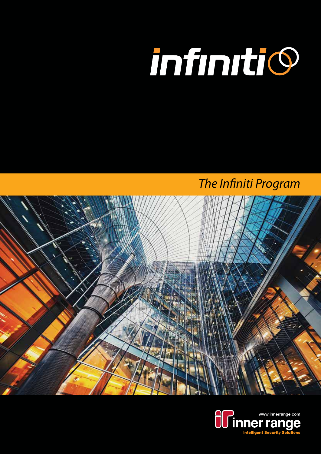

*The Infiniti Program*



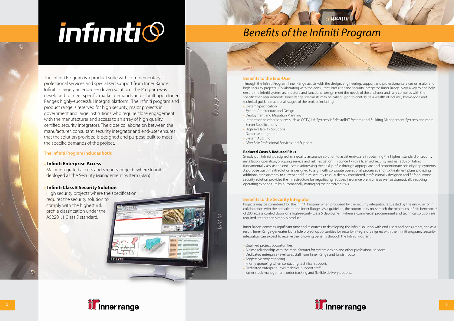The Infiniti Program is a product suite with complementary professional services and specialised support from Inner Range. Infiniti is largely an end-user driven solution. The Program was developed to meet specific market demands and is built upon Inner Range's highly-successful Integriti platform. The Infiniti program and product range is reserved for high security, major projects in government and large institutions who require close engagement with the manufacturer and access to an array of high quality, certified security integrators. The close collaboration between the manufacturer, consultant, security integrator and end-user ensures that the solution provided is designed and purpose built to meet the specific demands of the project.

High security projects where the specification requires the security solution to comply with the highest risk profile classification under the AS2201.1 Class 5 standard.

#### **The Infiniti Program includes both:**

#### • **Infiniti Enterprise Access**

Major integrated access and security projects where Infiniti is deployed as the Security Management System (SMS).

#### • **Infiniti Class 5 Security Solution**

#### **Benefits to the End-User**

Through the Infiniti Program, Inner Range assists with the design, engineering, support and professional services on major and high-security projects. Collaborating with the consultant, end-user and security integrator, Inner Range plays a key role to help ensure the Infiniti system architecture and functional design meet the needs of the end-user and fully complies with the specification requirements. Inner Range specialists may be called upon to contribute a wealth of industry knowledge and technical guidance across all stages of the project including: • System Specification

- System Architecture and Design
- Deployment and Migration Planning
- Integration to other services such as CCTV, Lift Systems, HR/Payroll/IT Systems and Building Management Systems and more
- Server Specifications
- High Availability Solutions
- Database Integration
- System Auditing
- After Sale Professional Services and Support

#### **Reduced Costs & Reduced Risks**

Simply put, Infiniti is designed as a quality assurance solution to assist end-users in obtaining the highest standard of security installation, operation, on-going service and risk mitigation. In concert with a licensed security and risk advisor, Infiniti fundamentally assists the end-user in addressing their risk profile through appropriate and proportionate security deployments. A purpose built Infiniti solution is designed to align with corporate operational processes and risk treatment plans providing additional transparency to current and future security risks. A deeply considered, professionally designed and fit for purpose security solution provides the infrastructure for negotiating reduced insurance premiums as well as dramatically reducing operating expenditure by automatically managing the perceived risks.

#### **Benefits to the Security Integrator**

Projects may be considered for the Infiniti Program when proposed by the security integrator, requested by the end-user or in collaboration with the consultant and Inner Range. As a guideline, the opportunity must reach the minimum Infiniti benchmark of 200 access control doors or a high-security Class 5 deployment where a commercial procurement and technical solution are required, rather than simply a product.

Inner Range commits significant time and resources to developing the Infiniti solution with end-users and consultants, and as a result, Inner Range generates bona fide project opportunities for security integrators aligned with the Infiniti program. Security integrators can expect to receive the following benefits through the Infiniti Program:

- Qualified project opportunities.
- A close relationship with the manufacturer for system design and other professional services.
- Dedicated enterprise-level sales staff from Inner Range and its distributor.
- Aggressive project pricing.
- Priority queueing when contacting technical support.
- Dedicated enterprise-level technical support staff.
- Easier stock management, order tracking and flexible delivery options.

# infiniti©

## *Benefits of the Infiniti Program*







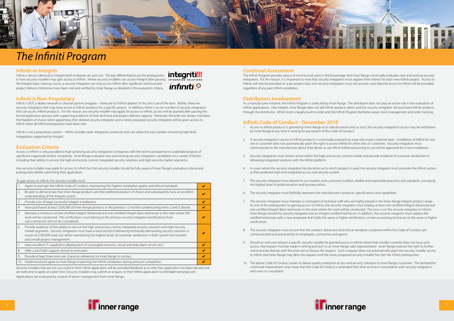#### **Infiniti vs Integriti**

Infiniti is almost identical to Integriti both in feature set and cost. The key differentiation are the prerequisites in how security installers may gain access to Infiniti. Where security installers can access Integriti after passing INTEGRATED SOLUTIONS the Integriti basic training course, a security integrator can only access Infiniti after significant technical and project delivery milestones have been met and verified by Inner Range, as detailed in the evaluation criteria.



#### **Infiniti is Non-Proprietary**

Infiniti is NOT a dealer network or channel partner program – there are no "Infiniti dealers" in the strict use of the term. Rather, there are security integrators that may have access to Infiniti products for a specific project. In addition, there is no set number of security integrators that can access Infiniti products. For this reason, any security installer may apply for access to Infiniti; access will be granted after passing the formal application process with supporting evidence of their technical and project delivery capacity. Moreover, the end-user always maintains the freedom of choice when appointing their desired security integrator and a newly proposed security integrator will be given access to Infiniti when all Infiniti prerequisites have been met.

Infiniti is not a proprietary system – Infiniti includes open integration protocols and can utilise the vast number of existing high-level integrations supported by Integriti.

#### **Evaluation Criteria**

Access to Infiniti is only provided to high achieving security integration companies with the technical expertise to undertake projects of significant magnitude and/or complexity. Inner Range evaluates new and existing security integration candidates on a variety of factors including their ability to service the high-end access control, integrated security solutions and high-security market segments.

Any security installer may apply for access to Infiniti but the security installer should be fully aware of Inner Range's evaluation criteria and prerequisites before submitting their application.

#### To gain access to Infiniti, the security installer must:

Security installers that are not successful in their Infiniti application will be provided feedback as to why their application has been denied and are welcome to apply at a later time. Security installers may submit an enquiry or their Infiniti application to infiniti@innerrange.com Applications are evaluated by a panel of senior management from Inner Range.







### *The Infiniti Program*

#### **Continual Assessment**

The Infiniti Program provides peace of mind to end-users in the knowledge that Inner Range continually evaluates new and existing security integrators. For this reason, it is important to note that security integrators must register their interest for each new Infiniti project. Access to Infiniti will only be provided on a per project basis and security integrators must not assume carte blanche access to Infiniti will be provided, regardless of any past Infiniti installation.

#### **Distributors Involvement**

As a manufacturer initiative, the Infiniti Program is solely led by Inner Range. The distributor does not play an active role in the evaluation of Infiniti applications. Like Integriti, Inner Range does not sell Infiniti products direct and the security integrator still purchases Infiniti products through the distributor. Infiniti stock is largely built to order and the Infiniti Program facilitates easier stock management and order tracking.

#### **Infiniti Code of Conduct - December 2018**

- 1. Access to Infiniti products is granted by Inner Range at its sole discretion and, as such, the security integrator's access may be withdrawn by Inner Range at any time in writing for any breach of this Code of Conduct.
- 2. A security integrator's access to Infiniti products is continually assessed on a per-site or per-customer basis. Installation of Infiniti for one site or customer does not automatically grant the right to access Infiniti for other sites or customers. Security integrators must communicate to the manufacturer about their desire to use Infiniti before presuming its use will be approved for a new installation.
- 3. Security integrators must remain active within the high-end access control market and provide evidence of customer satisfaction in delivering integrated solutions with the Infiniti platform.
- 4. In cases where the security integrator has discretion as to which product is used, the security integrator must promote the Infiniti system as their preferred high-end integrated access and security system.
- 5. The security integrator must present to our markets and customers, truthful, reliable and responsible practices and standards, conveying the highest level of professionalism and business ethics.
- 6. The security integrator must faithfully represent the manufacturer's products, specifications and capabilities.
- 7. The security integrator must maintain a contingent of technical staff who are highly trained in the Inner Range Integriti product range. As one of the prerequisites to gaining access to Infiniti, the security integrator must employ at least one certified Integriti Advanced and one certified Integriti Basic technician in the state where the work will be conducted. The onus is on the security integrator to inform Inner Range should the security integrator lose an Integriti certified technician. In addition, the security integrator must replace the certification.
- 8. The security integrator must ensure that the conduct, behaviour and ethical standards contained within this Code of Conduct are communicated and practiced by its employees, contractors and agents.
- 9. Should an end-user request a specific security installer be granted access to Infiniti where that installer currently does not have such access, that request must be made in writing and sent to an Inner Range sales representative. Inner Range reserves the right to further communicate directly with the end-user to discuss the request. Such a request does not automatically grant the security installer access to Infiniti and Inner Range may deny the request until the newly proposed security installer has met the Infiniti prerequisites.
- 10. The above Code of Conduct strives to deliver quality enterprise access and security solutions to Inner Range customers. The demand for continued improvement may mean that this Code of Conduct is amended from time to time in consultation with security integrators, end-users or consultants.

certified technician with a new employee that holds the same or higher certification, or train an existing technician to the same or higher



|     | Agree to and sign the Infiniti Code of Conduct, maintaining the highest installation quality and ethical standards.                                                                                                                                                                                                                                                                                                    |  |
|-----|------------------------------------------------------------------------------------------------------------------------------------------------------------------------------------------------------------------------------------------------------------------------------------------------------------------------------------------------------------------------------------------------------------------------|--|
| 2.  | Be able to demonstrate that Inner Range products are their preferred product of choice and subsequently have an excellent<br>understanding of the Integriti system.                                                                                                                                                                                                                                                    |  |
| 3.  | Provide a list of large successful Integriti installations.                                                                                                                                                                                                                                                                                                                                                            |  |
| 4.  | Have purchased at least \$200,000 of Inner Range products in the previous 12 months (underscoring items 2 and 3 above).                                                                                                                                                                                                                                                                                                |  |
| 5.  | Maintain a minimum of one certified Integriti Advanced and one certified Integriti Basic technician in the state where the<br>work will be conducted. The certifications must belong to the primary security integrator (certifications from<br>sub-contractors will not be considered).                                                                                                                               |  |
| 6.  | Provide evidence of their ability to service the high-end access control, integrated security solutions and high-security<br>market segments. Security integrators must have a track record of delivering technically demanding security solutions in<br>excess of \$500,000 total cost whilst maintaining the highest levels of customer satisfaction in both system functionality<br>and overall project management. |  |
| 7.  | Have excellent I.T. capabilities (deployment of converged networks, virtual and redundant servers etc).                                                                                                                                                                                                                                                                                                                |  |
| 8.  | Offer a 24x7x365 support service to end-users.                                                                                                                                                                                                                                                                                                                                                                         |  |
| 9.  | Provide at least three end-user character references for Inner Range to contact.                                                                                                                                                                                                                                                                                                                                       |  |
| 10. | Understand and agree to Inner Range inspecting the Infiniti installation during and post completion.                                                                                                                                                                                                                                                                                                                   |  |
|     |                                                                                                                                                                                                                                                                                                                                                                                                                        |  |